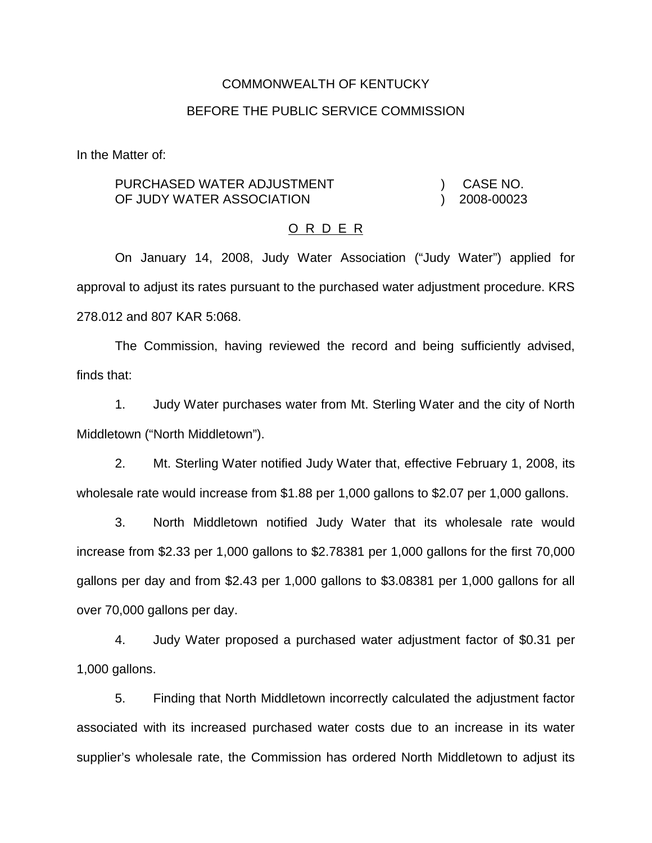#### COMMONWEALTH OF KENTUCKY

#### BEFORE THE PUBLIC SERVICE COMMISSION

In the Matter of:

#### PURCHASED WATER ADJUSTMENT OF JUDY WATER ASSOCIATION ) CASE NO. ) 2008-00023

#### O R D E R

On January 14, 2008, Judy Water Association ("Judy Water") applied for approval to adjust its rates pursuant to the purchased water adjustment procedure. KRS 278.012 and 807 KAR 5:068.

The Commission, having reviewed the record and being sufficiently advised, finds that:

1. Judy Water purchases water from Mt. Sterling Water and the city of North Middletown ("North Middletown").

2. Mt. Sterling Water notified Judy Water that, effective February 1, 2008, its wholesale rate would increase from \$1.88 per 1,000 gallons to \$2.07 per 1,000 gallons.

3. North Middletown notified Judy Water that its wholesale rate would increase from \$2.33 per 1,000 gallons to \$2.78381 per 1,000 gallons for the first 70,000 gallons per day and from \$2.43 per 1,000 gallons to \$3.08381 per 1,000 gallons for all over 70,000 gallons per day.

4. Judy Water proposed a purchased water adjustment factor of \$0.31 per 1,000 gallons.

5. Finding that North Middletown incorrectly calculated the adjustment factor associated with its increased purchased water costs due to an increase in its water supplier's wholesale rate, the Commission has ordered North Middletown to adjust its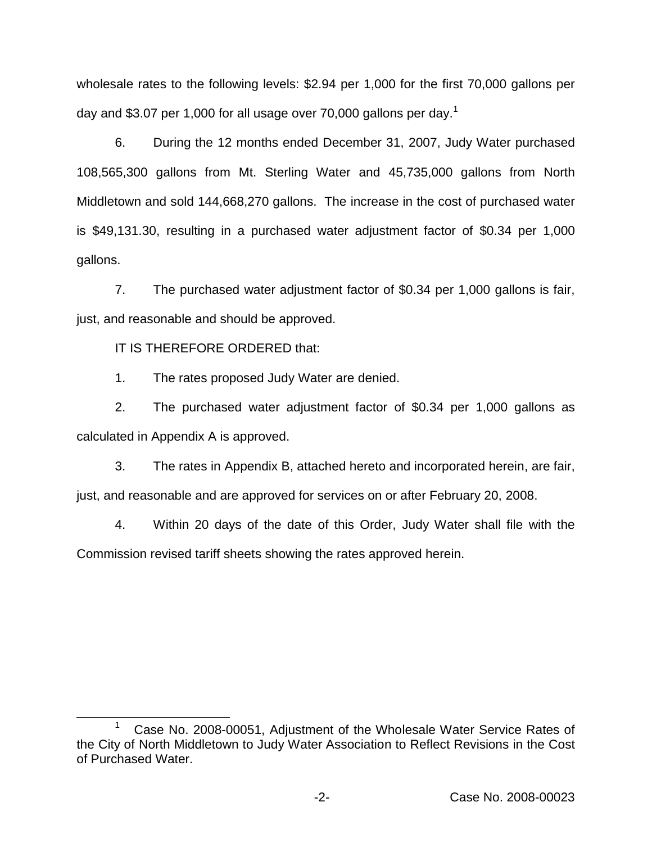wholesale rates to the following levels: \$2.94 per 1,000 for the first 70,000 gallons per day and \$3.07 per 1,000 for all usage over 70,000 gallons per day.<sup>1</sup>

6. During the 12 months ended December 31, 2007, Judy Water purchased 108,565,300 gallons from Mt. Sterling Water and 45,735,000 gallons from North Middletown and sold 144,668,270 gallons. The increase in the cost of purchased water is \$49,131.30, resulting in a purchased water adjustment factor of \$0.34 per 1,000 gallons.

7. The purchased water adjustment factor of \$0.34 per 1,000 gallons is fair, just, and reasonable and should be approved.

IT IS THEREFORE ORDERED that:

1. The rates proposed Judy Water are denied.

2. The purchased water adjustment factor of \$0.34 per 1,000 gallons as calculated in Appendix A is approved.

3. The rates in Appendix B, attached hereto and incorporated herein, are fair, just, and reasonable and are approved for services on or after February 20, 2008.

4. Within 20 days of the date of this Order, Judy Water shall file with the Commission revised tariff sheets showing the rates approved herein.

Case No. 2008-00051, Adjustment of the Wholesale Water Service Rates of the City of North Middletown to Judy Water Association to Reflect Revisions in the Cost of Purchased Water.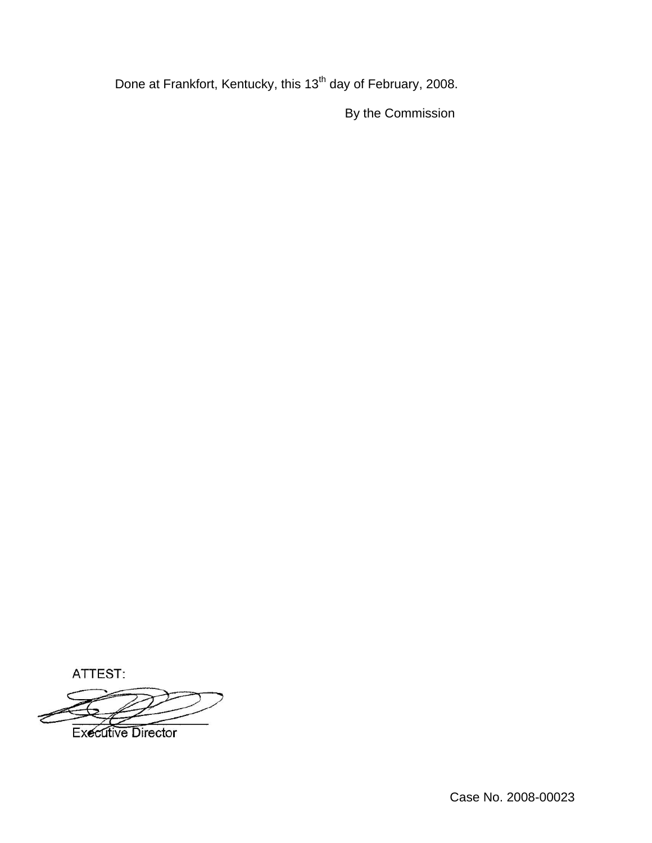Done at Frankfort, Kentucky, this 13<sup>th</sup> day of February, 2008.

By the Commission

ATTEST:

**Executive Director**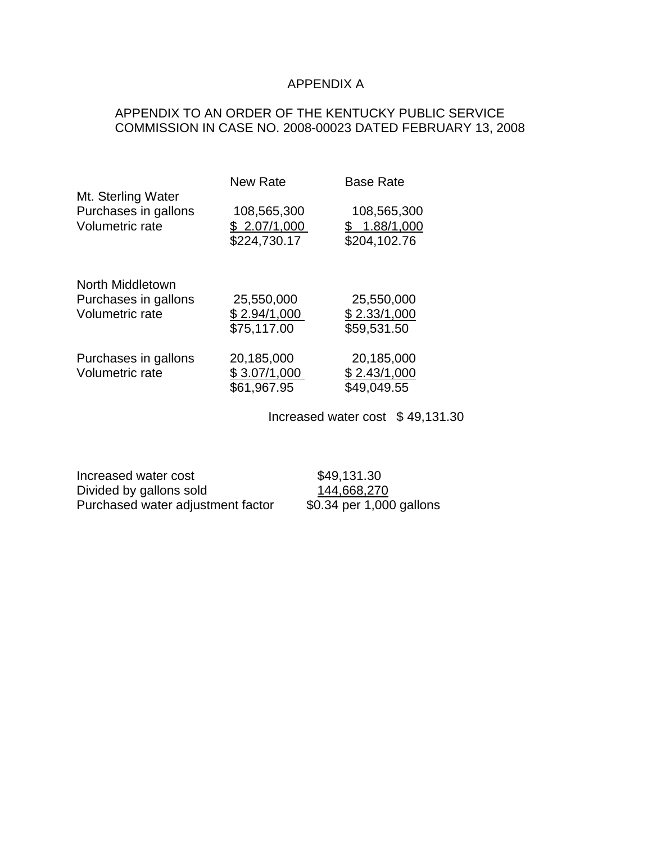# APPENDIX A

# APPENDIX TO AN ORDER OF THE KENTUCKY PUBLIC SERVICE COMMISSION IN CASE NO. 2008-00023 DATED FEBRUARY 13, 2008

| <b>New Rate</b>                             | <b>Base Rate</b>                            |
|---------------------------------------------|---------------------------------------------|
| 108,565,300<br>\$2.07/1,000<br>\$224,730.17 | 108,565,300<br>\$1.88/1,000<br>\$204,102.76 |
|                                             |                                             |
| 25,550,000                                  | 25,550,000                                  |
| \$2.94/1,000                                | \$2.33/1,000                                |
| \$75,117.00                                 | \$59,531.50                                 |
| 20,185,000<br>\$3.07/1,000                  | 20,185,000<br>\$2.43/1,000                  |
| \$61,967.95                                 | \$49,049.55                                 |
|                                             |                                             |

Increased water cost \$ 49,131.30

Increased water cost \$49,131.30 Divided by gallons sold 144,668,270 Purchased water adjustment factor \$0.34 per 1,000 gallons